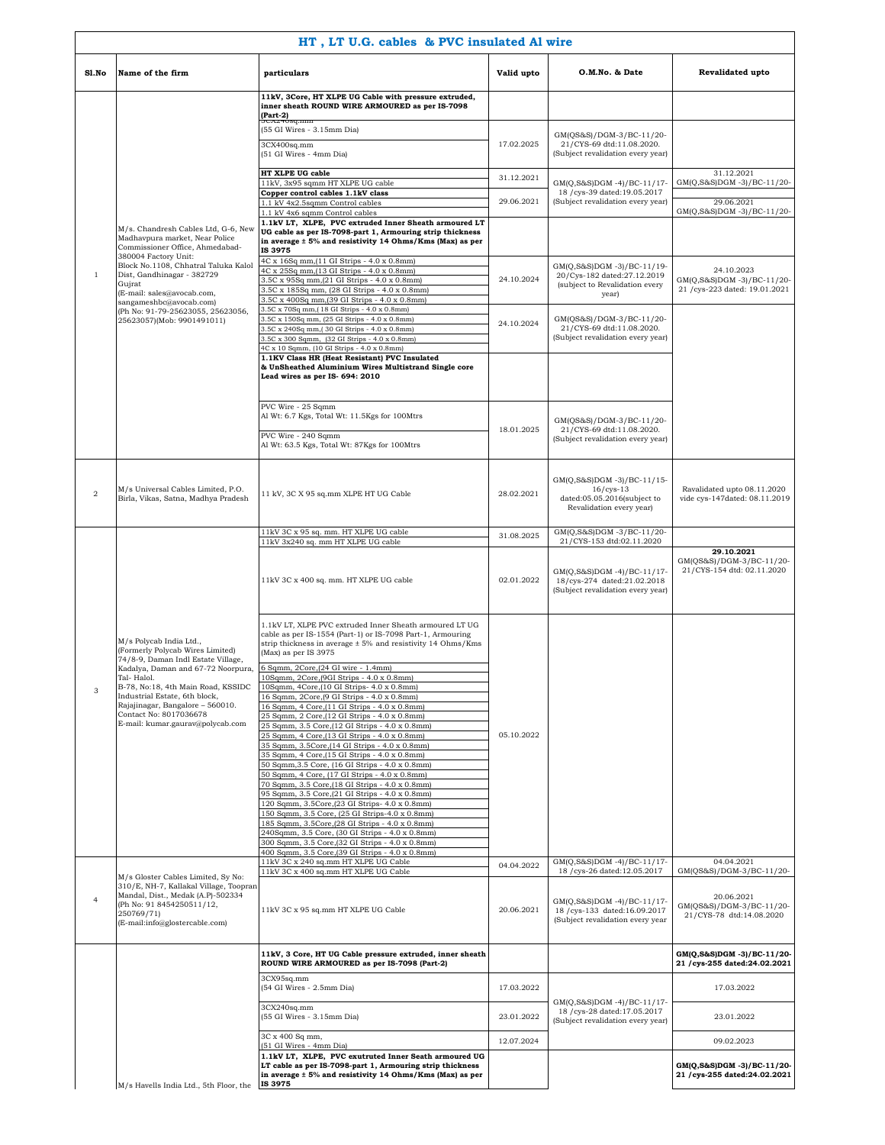|                | HT, LT U.G. cables & PVC insulated Al wire                                                                                                               |                                                                                                                                                                                                              |            |                                                                                                      |                                                                          |  |  |
|----------------|----------------------------------------------------------------------------------------------------------------------------------------------------------|--------------------------------------------------------------------------------------------------------------------------------------------------------------------------------------------------------------|------------|------------------------------------------------------------------------------------------------------|--------------------------------------------------------------------------|--|--|
| Sl.No          | Name of the firm                                                                                                                                         | particulars                                                                                                                                                                                                  | Valid upto | O.M.No. & Date                                                                                       | Revalidated upto                                                         |  |  |
|                |                                                                                                                                                          | 11kV, 3Core, HT XLPE UG Cable with pressure extruded,<br>inner sheath ROUND WIRE ARMOURED as per IS-7098<br>$(Part-2)$                                                                                       |            |                                                                                                      |                                                                          |  |  |
|                |                                                                                                                                                          | (55 GI Wires - 3.15mm Dia)<br>3CX400sq.mm                                                                                                                                                                    | 17.02.2025 | GM(QS&S)/DGM-3/BC-11/20-<br>21/CYS-69 dtd:11.08.2020.                                                |                                                                          |  |  |
|                |                                                                                                                                                          | (51 GI Wires - 4mm Dia)<br>HT XLPE UG cable                                                                                                                                                                  | 31.12.2021 | (Subject revalidation every year)                                                                    | 31.12.2021                                                               |  |  |
|                |                                                                                                                                                          | 11kV, 3x95 sqmm HT XLPE UG cable<br>Copper control cables 1.1kV class<br>1.1 kV 4x2.5sqmm Control cables                                                                                                     | 29.06.2021 | GM(Q,S&S)DGM-4)/BC-11/17-<br>18 / cys-39 dated:19.05.2017<br>(Subject revalidation every year)       | GM(Q,S&S)DGM-3)/BC-11/20-<br>29.06.2021                                  |  |  |
|                |                                                                                                                                                          | 1.1 kV 4x6 sqmm Control cables                                                                                                                                                                               |            |                                                                                                      | GM(Q,S&S)DGM-3)/BC-11/20-                                                |  |  |
|                | M/s. Chandresh Cables Ltd, G-6, New<br>Madhavpura market, Near Police<br>Commissioner Office, Ahmedabad-<br>380004 Factory Unit:                         | 1.1kV LT, XLPE, PVC extruded Inner Sheath armoured LT<br>UG cable as per IS-7098-part 1, Armouring strip thickness<br>in average ± 5% and resistivity 14 Ohms/Kms (Max) as per<br>IS 3975                    |            |                                                                                                      |                                                                          |  |  |
| $\mathbf{1}$   | Block No.1108, Chhatral Taluka Kalol<br>Dist, Gandhinagar - 382729<br>Gujrat<br>(E-mail: sales@avocab.com,                                               | 4C x 16Sq mm, (11 GI Strips - 4.0 x 0.8mm)<br>4C x 25Sq mm, (13 GI Strips - 4.0 x 0.8mm)<br>3.5C x 95Sq mm, (21 GI Strips - 4.0 x 0.8mm)<br>3.5C x 185Sq mm, (28 GI Strips - 4.0 x 0.8mm)                    | 24.10.2024 | GM(Q,S&S)DGM-3)/BC-11/19-<br>20/Cys-182 dated:27.12.2019<br>(subject to Revalidation every<br>year)  | 24.10.2023<br>GM(Q,S&S)DGM-3)/BC-11/20-<br>21 /cys-223 dated: 19.01.2021 |  |  |
|                | sangameshbc@avocab.com)<br>(Ph No: 91-79-25623055, 25623056,<br>25623057)(Mob: 9901491011)                                                               | 3.5C x 400Sq mm, (39 GI Strips - 4.0 x 0.8mm)<br>3.5C x 70Sq mm, [18 GI Strips - 4.0 x 0.8mm]<br>3.5C x 150Sq mm, (25 GI Strips - 4.0 x 0.8mm)<br>3.5C x 240Sq mm, 30 GI Strips - 4.0 x 0.8mm)               | 24.10.2024 | GM(QS&S)/DGM-3/BC-11/20-<br>21/CYS-69 dtd:11.08.2020.                                                |                                                                          |  |  |
|                |                                                                                                                                                          | 3.5C x 300 Sqmm, (32 GI Strips - 4.0 x 0.8mm)<br>4C x 10 Sqmm, (10 GI Strips - 4.0 x 0.8mm)                                                                                                                  |            | (Subject revalidation every year)                                                                    |                                                                          |  |  |
|                |                                                                                                                                                          | 1.1KV Class HR (Heat Resistant) PVC Insulated<br>& UnSheathed Aluminium Wires Multistrand Single core<br>Lead wires as per IS- 694: 2010                                                                     |            |                                                                                                      |                                                                          |  |  |
|                |                                                                                                                                                          | PVC Wire - 25 Sqmm<br>Al Wt: 6.7 Kgs, Total Wt: 11.5Kgs for 100Mtrs                                                                                                                                          | 18.01.2025 | GM(QS&S)/DGM-3/BC-11/20-                                                                             |                                                                          |  |  |
|                |                                                                                                                                                          | PVC Wire - 240 Sqmm<br>Al Wt: 63.5 Kgs, Total Wt: 87Kgs for 100Mtrs                                                                                                                                          |            | 21/CYS-69 dtd:11.08.2020.<br>(Subject revalidation every year)                                       |                                                                          |  |  |
| $\,2\,$        | M/s Universal Cables Limited, P.O.<br>Birla, Vikas, Satna, Madhya Pradesh                                                                                | 11 kV, 3C X 95 sq.mm XLPE HT UG Cable                                                                                                                                                                        | 28.02.2021 | GM(Q,S&S)DGM -3)/BC-11/15-<br>$16/cys-13$<br>dated:05.05.2016(subject to<br>Revalidation every year) | Ravalidated upto 08.11.2020<br>vide cys-147dated: 08.11.2019             |  |  |
|                |                                                                                                                                                          | 11kV 3C x 95 sq. mm. HT XLPE UG cable<br>11kV 3x240 sq. mm HT XLPE UG cable                                                                                                                                  | 31.08.2025 | GM(Q,S&S)DGM -3/BC-11/20-<br>21/CYS-153 dtd:02.11.2020                                               |                                                                          |  |  |
|                |                                                                                                                                                          |                                                                                                                                                                                                              |            |                                                                                                      | 29.10.2021                                                               |  |  |
|                | M/s Polycab India Ltd.,<br>(Formerly Polycab Wires Limited)<br>74/8-9, Daman Indl Estate Village,                                                        | 11kV 3C x 400 sq. mm. HT XLPE UG cable                                                                                                                                                                       | 02.01.2022 | GM(Q,S&S)DGM-4)/BC-11/17-<br>18/cys-274 dated:21.02.2018<br>(Subject revalidation every year)        | GM(QS&S)/DGM-3/BC-11/20-<br>21/CYS-154 dtd: 02.11.2020                   |  |  |
|                |                                                                                                                                                          | 1.1kV LT, XLPE PVC extruded Inner Sheath armoured LT UG<br>cable as per IS-1554 (Part-1) or IS-7098 Part-1, Armouring<br>strip thickness in average ± 5% and resistivity 14 Ohms/Kms<br>(Max) as per IS 3975 |            |                                                                                                      |                                                                          |  |  |
|                | Kadalya, Daman and 67-72 Noorpura,<br>Tal-Halol.                                                                                                         | 6 Sqmm, 2Core, (24 GI wire - 1.4mm)<br>10Sqmm, 2Core, (9GI Strips - 4.0 x 0.8mm)                                                                                                                             |            |                                                                                                      |                                                                          |  |  |
| 3              | B-78, No:18, 4th Main Road, KSSIDC<br>Industrial Estate, 6th block,                                                                                      | 10Sqmm, 4Core, (10 GI Strips- 4.0 x 0.8mm)<br>16 Sqmm, 2Core, (9 GI Strips - 4.0 x 0.8mm)                                                                                                                    |            |                                                                                                      |                                                                          |  |  |
|                | Rajajinagar, Bangalore - 560010.<br>Contact No: 8017036678                                                                                               | 16 Sqmm, 4 Core, (11 GI Strips - 4.0 x 0.8mm)                                                                                                                                                                |            |                                                                                                      |                                                                          |  |  |
|                | E-mail: kumar.gaurav@polycab.com                                                                                                                         | 25 Sqmm, 2 Core, (12 GI Strips - 4.0 x 0.8mm)<br>25 Sqmm, 3.5 Core, (12 GI Strips - 4.0 x 0.8mm)                                                                                                             | 05.10.2022 |                                                                                                      |                                                                          |  |  |
|                |                                                                                                                                                          | 25 Sqmm, 4 Core, (13 GI Strips - 4.0 x 0.8mm)<br>35 Sqmm, 3.5Core, (14 GI Strips - 4.0 x 0.8mm)                                                                                                              |            |                                                                                                      |                                                                          |  |  |
|                |                                                                                                                                                          | 35 Sqmm, 4 Core, (15 GI Strips - 4.0 x 0.8mm)<br>50 Sqmm, 3.5 Core, (16 GI Strips - 4.0 x 0.8mm)                                                                                                             |            |                                                                                                      |                                                                          |  |  |
|                |                                                                                                                                                          | 50 Sqmm, 4 Core, (17 GI Strips - 4.0 x 0.8mm)<br>70 Sqmm, 3.5 Core, (18 GI Strips - 4.0 x 0.8mm)                                                                                                             |            |                                                                                                      |                                                                          |  |  |
|                |                                                                                                                                                          | 95 Sqmm, 3.5 Core, (21 GI Strips - 4.0 x 0.8mm)<br>120 Sqmm, 3.5Core, (23 GI Strips- 4.0 x 0.8mm)                                                                                                            |            |                                                                                                      |                                                                          |  |  |
|                |                                                                                                                                                          | 150 Sqmm, 3.5 Core, (25 GI Strips-4.0 x 0.8mm)<br>185 Sqmm, 3.5Core, (28 GI Strips - 4.0 x 0.8mm)                                                                                                            |            |                                                                                                      |                                                                          |  |  |
|                |                                                                                                                                                          | 240Sqmm, 3.5 Core, (30 GI Strips - 4.0 x 0.8mm)<br>300 Sqmm, 3.5 Core, (32 GI Strips - 4.0 x 0.8mm)                                                                                                          |            |                                                                                                      |                                                                          |  |  |
|                |                                                                                                                                                          | 400 Sqmm, 3.5 Core, (39 GI Strips - 4.0 x 0.8mm)                                                                                                                                                             |            |                                                                                                      |                                                                          |  |  |
|                | M/s Gloster Cables Limited, Sy No:                                                                                                                       | 11kV 3C x 240 sq.mm HT XLPE UG Cable<br>11kV 3C x 400 sq.mm HT XLPE UG Cable                                                                                                                                 | 04.04.2022 | GM(Q,S&S)DGM-4)/BC-11/17-<br>18 / cys-26 dated:12.05.2017                                            | 04.04.2021<br>GM(QS&S)/DGM-3/BC-11/20-                                   |  |  |
| $\overline{4}$ | 310/E, NH-7, Kallakal Village, Toopran<br>Mandal, Dist., Medak (A.P)-502334<br>(Ph No: 91 8454250511/12,<br>250769/71)<br>(E-mail:info@glostercable.com) | 11kV 3C x 95 sq.mm HT XLPE UG Cable                                                                                                                                                                          | 20.06.2021 | GM(Q,S&S)DGM-4)/BC-11/17-<br>18 / cys-133 dated:16.09.2017<br>(Subject revalidation every year       | 20.06.2021<br>GM(QS&S)/DGM-3/BC-11/20-<br>21/CYS-78 dtd:14.08.2020       |  |  |
|                |                                                                                                                                                          | 11kV, 3 Core, HT UG Cable pressure extruded, inner sheath<br>ROUND WIRE ARMOURED as per IS-7098 (Part-2)                                                                                                     |            |                                                                                                      | GM(Q,S&S)DGM -3)/BC-11/20-<br>21 /cys-255 dated:24.02.2021               |  |  |
|                |                                                                                                                                                          | 3CX95sq.mm<br>(54 GI Wires - 2.5mm Dia)                                                                                                                                                                      | 17.03.2022 |                                                                                                      | 17.03.2022                                                               |  |  |
|                |                                                                                                                                                          | 3CX240sq.mm<br>(55 GI Wires - 3.15mm Dia)                                                                                                                                                                    | 23.01.2022 | GM(Q,S&S)DGM -4)/BC-11/17-<br>18 / cys-28 dated:17.05.2017<br>(Subject revalidation every year)      | 23.01.2022                                                               |  |  |
|                |                                                                                                                                                          | 3C x 400 Sq mm,<br>(51 GI Wires - 4mm Dia)                                                                                                                                                                   | 12.07.2024 |                                                                                                      | 09.02.2023                                                               |  |  |
|                | M/s Havells India Ltd., 5th Floor, the                                                                                                                   | 1.1kV LT, XLPE, PVC exutruted Inner Seath armoured UG<br>LT cable as per IS-7098-part 1, Armouring strip thickness<br>in average ± 5% and resistivity 14 Ohms/Kms (Max) as per<br>IS 3975                    |            |                                                                                                      | GM(Q,S&S)DGM -3)/BC-11/20-<br>21 /cys-255 dated:24.02.2021               |  |  |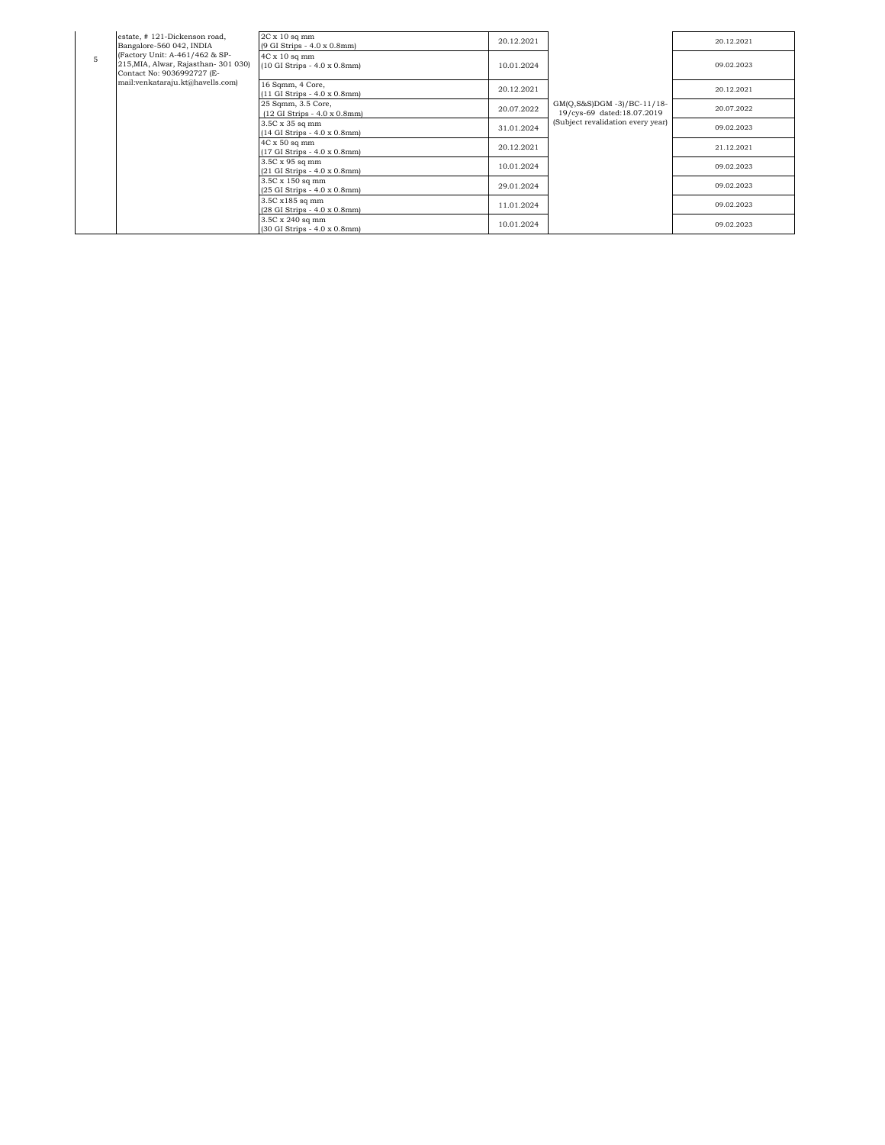|                | estate, #121-Dickenson road,<br>Bangalore-560 042, INDIA                                             | $2C \times 10$ sq mm<br>(9 GI Strips - 4.0 x 0.8mm)                         | 20.12.2021 |                                                                                                  | 20.12.2021 |
|----------------|------------------------------------------------------------------------------------------------------|-----------------------------------------------------------------------------|------------|--------------------------------------------------------------------------------------------------|------------|
| $\overline{5}$ | (Factory Unit: A-461/462 & SP-<br>215, MIA, Alwar, Rajasthan- 301 030)<br>Contact No: 9036992727 (E- | $4C \times 10$ sq mm<br>$(10 \text{ GI Strips} - 4.0 \times 0.8 \text{mm})$ | 10.01.2024 | $GM(Q,S&S)DGM - 3)/BC-11/18-$<br>19/cys-69 dated:18.07.2019<br>(Subject revalidation every year) | 09.02.2023 |
|                | mail:venkataraju.kt@havells.com)                                                                     | 16 Sqmm, 4 Core,<br>(11 GI Strips - 4.0 x 0.8mm)                            | 20.12.2021 |                                                                                                  | 20.12.2021 |
|                |                                                                                                      | 25 Sqmm, 3.5 Core,<br>$(12 \text{ GI Strips} - 4.0 \times 0.8 \text{mm})$   | 20.07.2022 |                                                                                                  | 20.07.2022 |
|                |                                                                                                      | 3.5C x 35 sq mm<br>$(14 \text{ GI Strips} - 4.0 \times 0.8 \text{mm})$      | 31.01.2024 |                                                                                                  | 09.02.2023 |
|                |                                                                                                      | $4C \times 50$ sq mm<br>(17 GI Strips - 4.0 x 0.8mm)                        | 20.12.2021 |                                                                                                  | 21.12.2021 |
|                |                                                                                                      | 3.5C x 95 sq mm<br>$(21 \text{ GI Strips} - 4.0 \times 0.8 \text{mm})$      | 10.01.2024 |                                                                                                  | 09.02.2023 |
|                |                                                                                                      | 3.5C x 150 sq mm<br>(25 GI Strips - 4.0 x 0.8mm)                            | 29.01.2024 |                                                                                                  | 09.02.2023 |
|                |                                                                                                      | 3.5C x185 sq mm<br>(28 GI Strips - 4.0 x 0.8mm)                             | 11.01.2024 |                                                                                                  | 09.02.2023 |
|                |                                                                                                      | 3.5C x 240 sq mm<br>(30 GI Strips - 4.0 x 0.8mm)                            | 10.01.2024 |                                                                                                  | 09.02.2023 |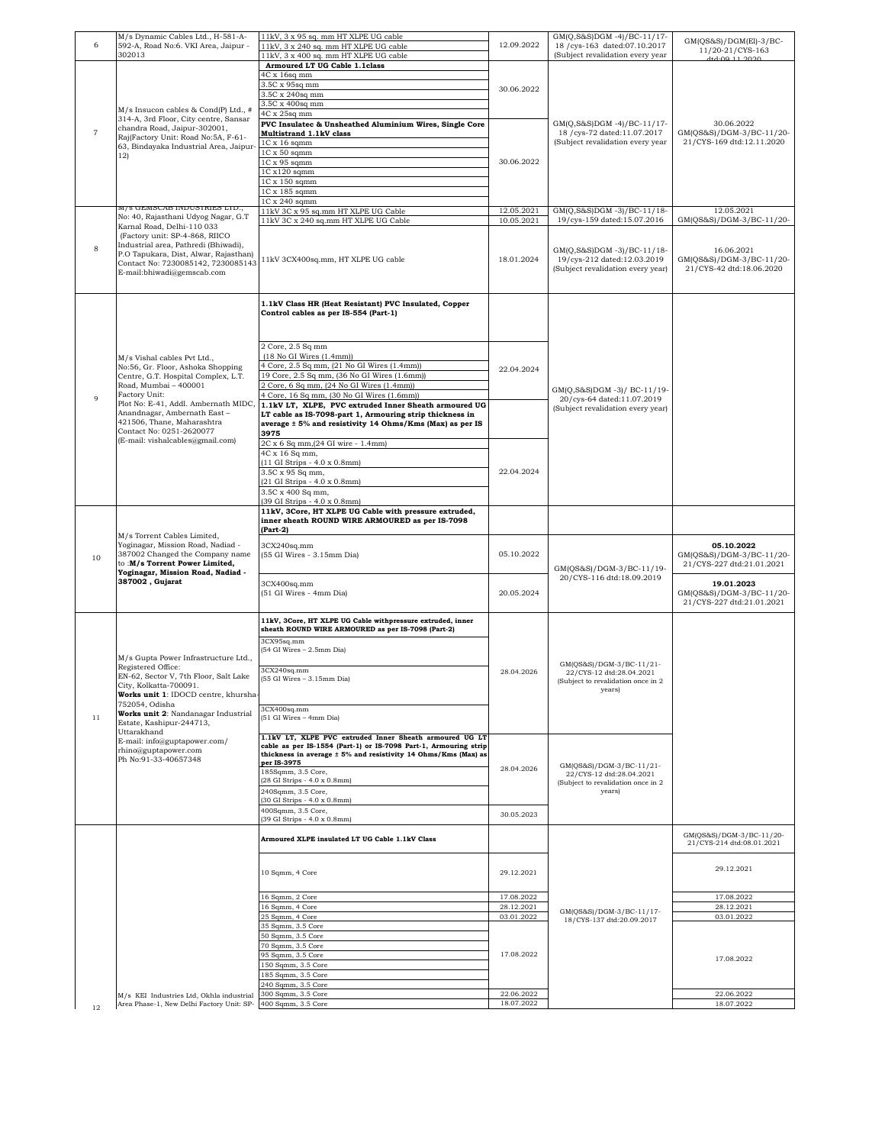| 6              | M/s Dynamic Cables Ltd., H-581-A-<br>592-A, Road No:6. VKI Area, Jaipur -<br>302013                                                                                                          | 11kV, 3 x 95 sq. mm HT XLPE UG cable<br>11kV, 3 x 240 sq. mm HT XLPE UG cable<br>11kV, 3 x 400 sq. mm HT XLPE UG cable | 12.09.2022               | GM(Q,S&S)DGM-4)/BC-11/17-<br>18 / cys-163 dated:07.10.2017<br>(Subject revalidation every year | GM(QS&S)/DGM(El)-3/BC-<br>11/20-21/CYS-163            |
|----------------|----------------------------------------------------------------------------------------------------------------------------------------------------------------------------------------------|------------------------------------------------------------------------------------------------------------------------|--------------------------|------------------------------------------------------------------------------------------------|-------------------------------------------------------|
|                |                                                                                                                                                                                              | Armoured LT UG Cable 1.1class                                                                                          | 30.06.2022               | 1:4:00 11 2020                                                                                 |                                                       |
|                |                                                                                                                                                                                              | 4C x 16sq mm                                                                                                           |                          |                                                                                                |                                                       |
|                |                                                                                                                                                                                              | 3.5C x 95sq mm                                                                                                         |                          |                                                                                                |                                                       |
|                |                                                                                                                                                                                              | 3.5C x 240sq mm                                                                                                        |                          |                                                                                                |                                                       |
|                |                                                                                                                                                                                              | 3.5C x 400sq mm                                                                                                        |                          |                                                                                                |                                                       |
|                | M/s Insucon cables & Cond(P) Ltd., #                                                                                                                                                         | 4C x 25sq mm                                                                                                           |                          |                                                                                                |                                                       |
|                | 314-A, 3rd Floor, City centre, Sansar<br>chandra Road, Jaipur-302001,                                                                                                                        | PVC Insulatec & Unsheathed Aluminium Wires, Single Core                                                                |                          | GM(Q,S&S)DGM-4)/BC-11/17-                                                                      | 30.06.2022                                            |
| $\overline{7}$ | Raj(Factory Unit: Road No:5A, F-61-                                                                                                                                                          | Multistrand 1.1kV class                                                                                                |                          | 18 / cys-72 dated:11.07.2017                                                                   | GM(QS&S)/DGM-3/BC-11/20-                              |
|                | 63, Bindayaka Industrial Area, Jaipur-                                                                                                                                                       | $1C \times 16$ sqmm<br>$1C \times 50$ sqmm                                                                             |                          | (Subject revalidation every year                                                               | 21/CYS-169 dtd:12.11.2020                             |
|                | 12)                                                                                                                                                                                          | $1C x 95$ sqmm                                                                                                         | 30.06.2022               |                                                                                                |                                                       |
|                |                                                                                                                                                                                              | 1C x120 sqmm                                                                                                           |                          |                                                                                                |                                                       |
|                |                                                                                                                                                                                              | 1C x 150 sqmm                                                                                                          |                          |                                                                                                |                                                       |
|                |                                                                                                                                                                                              | 1C x 185 sqmm                                                                                                          |                          |                                                                                                |                                                       |
|                | M/s GEMSCAB INDUSTRIES LTD.,                                                                                                                                                                 | 1C x 240 sqmm                                                                                                          |                          |                                                                                                |                                                       |
|                | No: 40, Rajasthani Udyog Nagar, G.T                                                                                                                                                          | 11kV 3C x 95 sq.mm HT XLPE UG Cable<br>11kV 3C x 240 sq.mm HT XLPE UG Cable                                            | 12.05.2021<br>10.05.2021 | GM(Q,S&S)DGM-3)/BC-11/18-<br>19/cys-159 dated:15.07.2016                                       | 12.05.2021<br>GM(QS&S)/DGM-3/BC-11/20-                |
|                | Karnal Road, Delhi-110 033                                                                                                                                                                   |                                                                                                                        |                          |                                                                                                |                                                       |
|                | (Factory unit: SP-4-868, RIICO                                                                                                                                                               |                                                                                                                        |                          |                                                                                                |                                                       |
| 8              | Industrial area, Pathredi (Bhiwadi),<br>P.O Tapukara, Dist, Alwar, Rajasthan)                                                                                                                |                                                                                                                        |                          | GM(Q,S&S)DGM-3)/BC-11/18-                                                                      | 16.06.2021                                            |
|                | Contact No: 7230085142, 7230085143                                                                                                                                                           | 11kV 3CX400sq.mm, HT XLPE UG cable                                                                                     | 18.01.2024               | 19/cys-212 dated:12.03.2019                                                                    | GM(QS&S)/DGM-3/BC-11/20-                              |
|                | E-mail:bhiwadi@gemscab.com                                                                                                                                                                   |                                                                                                                        |                          | (Subject revalidation every year)                                                              | 21/CYS-42 dtd:18.06.2020                              |
|                |                                                                                                                                                                                              |                                                                                                                        |                          |                                                                                                |                                                       |
|                |                                                                                                                                                                                              |                                                                                                                        |                          |                                                                                                |                                                       |
|                |                                                                                                                                                                                              | 1.1kV Class HR (Heat Resistant) PVC Insulated, Copper                                                                  |                          |                                                                                                |                                                       |
|                |                                                                                                                                                                                              | Control cables as per IS-554 (Part-1)                                                                                  |                          |                                                                                                |                                                       |
|                |                                                                                                                                                                                              |                                                                                                                        |                          |                                                                                                |                                                       |
|                |                                                                                                                                                                                              |                                                                                                                        |                          |                                                                                                |                                                       |
|                |                                                                                                                                                                                              | 2 Core, 2.5 Sq mm<br>$(18$ No GI Wires $(1.4$ mm $))$                                                                  |                          |                                                                                                |                                                       |
|                | M/s Vishal cables Pvt Ltd.,<br>No:56, Gr. Floor, Ashoka Shopping                                                                                                                             | 4 Core, 2.5 Sq mm, (21 No GI Wires (1.4mm))                                                                            |                          |                                                                                                |                                                       |
|                | Centre, G.T. Hospital Complex, L.T.                                                                                                                                                          | 19 Core, 2.5 Sq mm, (36 No GI Wires (1.6mm))                                                                           | 22.04.2024               |                                                                                                |                                                       |
|                | Road, Mumbai - 400001                                                                                                                                                                        | 2 Core, 6 Sq mm, (24 No GI Wires (1.4mm)                                                                               |                          |                                                                                                |                                                       |
| 9              | Factory Unit:                                                                                                                                                                                | 4 Core, 16 Sq mm, (30 No GI Wires (1.6mm))                                                                             |                          | GM(Q,S&S)DGM -3)/ BC-11/19-<br>20/cys-64 dated:11.07.2019                                      |                                                       |
|                | Plot No: E-41, Addl. Ambernath MIDC,                                                                                                                                                         | 1.1kV LT, XLPE, PVC extruded Inner Sheath armoured UG                                                                  |                          | (Subject revalidation every year)                                                              |                                                       |
|                | Anandnagar, Ambernath East-<br>421506, Thane, Maharashtra                                                                                                                                    | LT cable as IS-7098-part 1, Armouring strip thickness in                                                               |                          |                                                                                                |                                                       |
|                | Contact No: 0251-2620077                                                                                                                                                                     | average ± 5% and resistivity 14 Ohms/Kms (Max) as per IS<br>3975                                                       |                          |                                                                                                |                                                       |
|                | (E-mail: vishalcables@gmail.com)                                                                                                                                                             | 2C x 6 Sq mm, (24 GI wire - 1.4mm)                                                                                     |                          |                                                                                                |                                                       |
|                |                                                                                                                                                                                              | 4C x 16 Sq mm,                                                                                                         |                          |                                                                                                |                                                       |
|                |                                                                                                                                                                                              | (11 GI Strips - 4.0 x 0.8mm)                                                                                           |                          |                                                                                                |                                                       |
|                |                                                                                                                                                                                              | 3.5C x 95 Sq mm,                                                                                                       | 22.04.2024               |                                                                                                |                                                       |
|                |                                                                                                                                                                                              | (21 GI Strips - 4.0 x 0.8mm)                                                                                           |                          |                                                                                                |                                                       |
|                |                                                                                                                                                                                              | 3.5C x 400 Sq mm,<br>(39 GI Strips - 4.0 x 0.8mm)                                                                      |                          |                                                                                                |                                                       |
|                |                                                                                                                                                                                              | 11kV, 3Core, HT XLPE UG Cable with pressure extruded,                                                                  |                          |                                                                                                |                                                       |
|                |                                                                                                                                                                                              | inner sheath ROUND WIRE ARMOURED as per IS-7098                                                                        |                          |                                                                                                |                                                       |
|                | M/s Torrent Cables Limited,<br>Yoginagar, Mission Road, Nadiad -<br>387002 Changed the Company name<br>to:M/s Torrent Power Limited,<br>Yoginagar, Mission Road, Nadiad -<br>387002, Gujarat | $(Part-2)$                                                                                                             |                          |                                                                                                |                                                       |
|                |                                                                                                                                                                                              | 3CX240sq.mm                                                                                                            | 05.10.2022               | GM(QS&S)/DGM-3/BC-11/19-<br>20/CYS-116 dtd:18.09.2019                                          | 05.10.2022                                            |
| 10             |                                                                                                                                                                                              | (55 GI Wires - 3.15mm Dia)                                                                                             |                          |                                                                                                | GM(QS&S)/DGM-3/BC-11/20-                              |
|                |                                                                                                                                                                                              |                                                                                                                        |                          |                                                                                                | 21/CYS-227 dtd:21.01.2021                             |
|                |                                                                                                                                                                                              | 3CX400sq.mm                                                                                                            |                          |                                                                                                | 19.01.2023                                            |
|                |                                                                                                                                                                                              | (51 GI Wires - 4mm Dia)                                                                                                | 20.05.2024               |                                                                                                | GM(QS&S)/DGM-3/BC-11/20-                              |
|                |                                                                                                                                                                                              |                                                                                                                        |                          |                                                                                                | 21/CYS-227 dtd:21.01.2021                             |
|                |                                                                                                                                                                                              | 11kV, 3Core, HT XLPE UG Cable withpressure extruded, inner                                                             |                          |                                                                                                |                                                       |
|                |                                                                                                                                                                                              | sheath ROUND WIRE ARMOURED as per IS-7098 (Part-2)                                                                     |                          |                                                                                                |                                                       |
|                |                                                                                                                                                                                              | 3CX95sq.mm                                                                                                             |                          |                                                                                                |                                                       |
|                |                                                                                                                                                                                              | (54 GI Wires - 2.5mm Dia)                                                                                              |                          |                                                                                                |                                                       |
|                | M/s Gupta Power Infrastructure Ltd.,<br>Registered Office:                                                                                                                                   |                                                                                                                        |                          | GM(QS&S)/DGM-3/BC-11/21-                                                                       |                                                       |
|                | EN-62, Sector V, 7th Floor, Salt Lake                                                                                                                                                        | 3CX240sq.mm<br>(55 GI Wires - 3.15mm Dia)                                                                              | 28.04.2026               | 22/CYS-12 dtd:28.04.2021                                                                       |                                                       |
|                | City, Kolkatta-700091.                                                                                                                                                                       |                                                                                                                        |                          | (Subject to revalidation once in 2<br>years)                                                   |                                                       |
|                | Works unit 1: IDOCD centre, khursha-                                                                                                                                                         |                                                                                                                        |                          |                                                                                                |                                                       |
|                | 752054, Odisha<br>Works unit 2: Nandanagar Industrial                                                                                                                                        | 3CX400sqmm                                                                                                             |                          |                                                                                                |                                                       |
| 11             | Estate, Kashipur-244713,                                                                                                                                                                     | (51 GI Wires - 4mm Dia)                                                                                                |                          |                                                                                                |                                                       |
|                | Uttarakhand                                                                                                                                                                                  | 1.1kV LT, XLPE PVC extruded Inner Sheath armoured UG LT                                                                |                          |                                                                                                |                                                       |
|                | E-mail: info@guptapower.com/                                                                                                                                                                 | cable as per IS-1554 (Part-1) or IS-7098 Part-1, Armouring strip                                                       |                          |                                                                                                |                                                       |
|                | rhino@guptapower.com<br>Ph No:91-33-40657348                                                                                                                                                 | thickness in average ± 5% and resistivity 14 Ohms/Kms (Max) as                                                         |                          |                                                                                                |                                                       |
|                |                                                                                                                                                                                              | per IS-3975<br>185Sqmm, 3.5 Core,                                                                                      | 28.04.2026               | GM(QS&S)/DGM-3/BC-11/21-                                                                       |                                                       |
|                |                                                                                                                                                                                              | (28 GI Strips - 4.0 x 0.8mm)                                                                                           |                          | 22/CYS-12 dtd:28.04.2021<br>(Subject to revalidation once in 2                                 |                                                       |
|                |                                                                                                                                                                                              | 240Sqmm, 3.5 Core,                                                                                                     |                          | years)                                                                                         |                                                       |
|                |                                                                                                                                                                                              | (30 GI Strips - 4.0 x 0.8mm)                                                                                           |                          |                                                                                                |                                                       |
|                |                                                                                                                                                                                              | 400Sqmm, 3.5 Core,<br>(39 GI Strips - 4.0 x 0.8mm)                                                                     | 30.05.2023               |                                                                                                |                                                       |
|                |                                                                                                                                                                                              |                                                                                                                        |                          |                                                                                                |                                                       |
|                |                                                                                                                                                                                              | Armoured XLPE insulated LT UG Cable 1.1kV Class                                                                        |                          |                                                                                                | GM(QS&S)/DGM-3/BC-11/20-<br>21/CYS-214 dtd:08.01.2021 |
|                |                                                                                                                                                                                              |                                                                                                                        |                          |                                                                                                |                                                       |
|                |                                                                                                                                                                                              |                                                                                                                        |                          |                                                                                                |                                                       |
|                |                                                                                                                                                                                              | 10 Sqmm, 4 Core                                                                                                        | 29.12.2021               |                                                                                                | 29.12.2021                                            |
|                |                                                                                                                                                                                              |                                                                                                                        |                          |                                                                                                |                                                       |
|                |                                                                                                                                                                                              | 16 Sqmm, 2 Core                                                                                                        | 17.08.2022               |                                                                                                | 17.08.2022                                            |
|                |                                                                                                                                                                                              | 16 Sqmm, 4 Core                                                                                                        | 28.12.2021               | GM(QS&S)/DGM-3/BC-11/17-                                                                       | 28.12.2021                                            |
|                |                                                                                                                                                                                              | 25 Sqmm, 4 Core                                                                                                        | 03.01.2022               | 18/CYS-137 dtd:20.09.2017                                                                      | 03.01.2022                                            |
|                |                                                                                                                                                                                              | 35 Sqmm, 3.5 Core                                                                                                      |                          |                                                                                                |                                                       |
|                |                                                                                                                                                                                              | 50 Sqmm, 3.5 Core<br>70 Sqmm, 3.5 Core                                                                                 |                          |                                                                                                |                                                       |
|                |                                                                                                                                                                                              | 95 Sqmm, 3.5 Core                                                                                                      | 17.08.2022               |                                                                                                |                                                       |
|                |                                                                                                                                                                                              | 150 Sqmm, 3.5 Core                                                                                                     |                          |                                                                                                | 17.08.2022                                            |
|                |                                                                                                                                                                                              | 185 Sqmm, 3.5 Core                                                                                                     |                          |                                                                                                |                                                       |
|                |                                                                                                                                                                                              | 240 Sqmm, 3.5 Core                                                                                                     |                          |                                                                                                |                                                       |
|                | M/s KEI Industries Ltd, Okhla industrial                                                                                                                                                     | 300 Sqmm, 3.5 Core                                                                                                     | 22.06.2022               |                                                                                                | 22.06.2022                                            |
| 12.            | Area Phase-1, New Delhi Factory Unit: SP-                                                                                                                                                    | 400 Sqmm, 3.5 Core                                                                                                     | 18.07.2022               |                                                                                                | 18.07.2022                                            |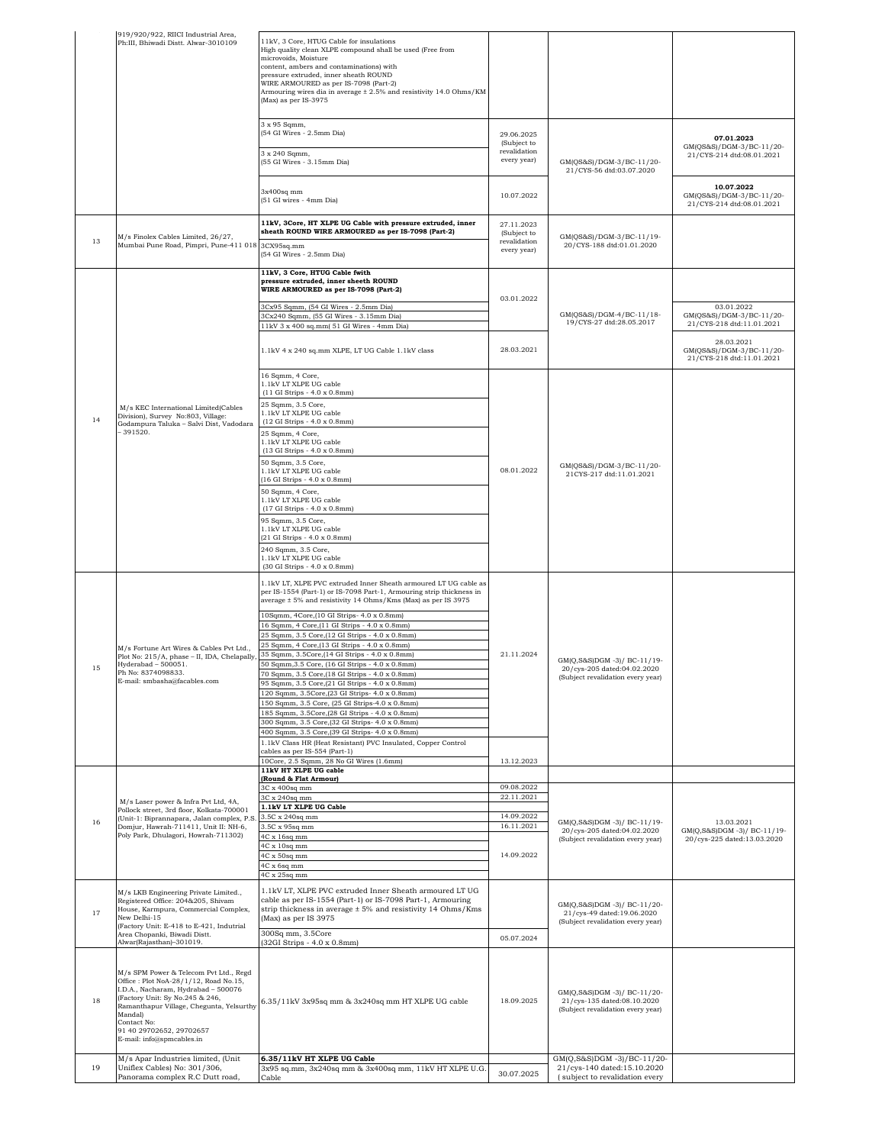|    | 919/920/922, RIICI Industrial Area,<br>Ph:III, Bhiwadi Distt. Alwar-3010109                                                                                                                                                                                                              | 11kV, 3 Core, HTUG Cable for insulations<br>High quality clean XLPE compound shall be used (Free from<br>microvoids, Moisture<br>content, ambers and contaminations) with<br>pressure extruded, inner sheath ROUND<br>WIRE ARMOURED as per IS-7098 (Part-2)<br>Armouring wires dia in average ± 2.5% and resistivity 14.0 Ohms/KM<br>(Max) as per IS-3975 |                                                          |                                                                                                 |                                                                     |
|----|------------------------------------------------------------------------------------------------------------------------------------------------------------------------------------------------------------------------------------------------------------------------------------------|-----------------------------------------------------------------------------------------------------------------------------------------------------------------------------------------------------------------------------------------------------------------------------------------------------------------------------------------------------------|----------------------------------------------------------|-------------------------------------------------------------------------------------------------|---------------------------------------------------------------------|
|    |                                                                                                                                                                                                                                                                                          | 3 x 95 Sqmm,<br>(54 GI Wires - 2.5mm Dia)                                                                                                                                                                                                                                                                                                                 | 29.06.2025<br>(Subject to                                | GM(QS&S)/DGM-3/BC-11/20-<br>21/CYS-56 dtd:03.07.2020                                            | 07.01.2023<br>GM(QS&S)/DGM-3/BC-11/20-                              |
|    |                                                                                                                                                                                                                                                                                          | 3 x 240 Sqmm,<br>(55 GI Wires - 3.15mm Dia)                                                                                                                                                                                                                                                                                                               | revalidation<br>every year)                              |                                                                                                 | 21/CYS-214 dtd:08.01.2021                                           |
|    |                                                                                                                                                                                                                                                                                          | 3x400sq mm<br>(51 GI wires - 4mm Dia)                                                                                                                                                                                                                                                                                                                     | 10.07.2022                                               |                                                                                                 | 10.07.2022<br>GM(QS&S)/DGM-3/BC-11/20-<br>21/CYS-214 dtd:08.01.2021 |
| 13 | M/s Finolex Cables Limited, 26/27,<br>Mumbai Pune Road, Pimpri, Pune-411 018 3CX95sq.mm                                                                                                                                                                                                  | 11kV, 3Core, HT XLPE UG Cable with pressure extruded, inner<br>sheath ROUND WIRE ARMOURED as per IS-7098 (Part-2)                                                                                                                                                                                                                                         | 27.11.2023<br>(Subject to<br>revalidation<br>every year) | GM(QS&S)/DGM-3/BC-11/19-<br>20/CYS-188 dtd:01.01.2020                                           |                                                                     |
|    |                                                                                                                                                                                                                                                                                          | (54 GI Wires - 2.5mm Dia)<br>11kV, 3 Core, HTUG Cable fwith                                                                                                                                                                                                                                                                                               |                                                          |                                                                                                 |                                                                     |
|    |                                                                                                                                                                                                                                                                                          | pressure extruded, inner sheeth ROUND<br>WIRE ARMOURED as per IS-7098 (Part-2)                                                                                                                                                                                                                                                                            | 03.01.2022                                               |                                                                                                 |                                                                     |
|    |                                                                                                                                                                                                                                                                                          | 3Cx95 Sqmm, (54 GI Wires - 2.5mm Dia)<br>3Cx240 Sqmm, (55 GI Wires - 3.15mm Dia)                                                                                                                                                                                                                                                                          |                                                          | GM(QS&S)/DGM-4/BC-11/18-                                                                        | 03.01.2022<br>GM(QS&S)/DGM-3/BC-11/20-                              |
|    |                                                                                                                                                                                                                                                                                          | 11kV 3 x 400 sq.mm(51 GI Wires - 4mm Dia)                                                                                                                                                                                                                                                                                                                 |                                                          | 19/CYS-27 dtd:28.05.2017                                                                        | 21/CYS-218 dtd:11.01.2021                                           |
|    |                                                                                                                                                                                                                                                                                          | 1.1kV 4 x 240 sq.mm XLPE, LT UG Cable 1.1kV class                                                                                                                                                                                                                                                                                                         | 28.03.2021                                               |                                                                                                 | 28.03.2021<br>GM(QS&S)/DGM-3/BC-11/20-<br>21/CYS-218 dtd:11.01.2021 |
|    |                                                                                                                                                                                                                                                                                          | 16 Sqmm, 4 Core,<br>$1.1\mathrm{kV}$ LT XLPE UG cable<br>(11 GI Strips - 4.0 x 0.8mm)<br>25 Sqmm, 3.5 Core,                                                                                                                                                                                                                                               |                                                          |                                                                                                 |                                                                     |
| 14 | M/s KEC International Limited(Cables<br>Division), Survey No:803, Village:<br>Godampura Taluka - Salvi Dist, Vadodara                                                                                                                                                                    | 1.1kV LT XLPE UG cable<br>(12 GI Strips - 4.0 x 0.8mm)                                                                                                                                                                                                                                                                                                    |                                                          |                                                                                                 |                                                                     |
|    | $-391520.$                                                                                                                                                                                                                                                                               | 25 Sqmm, 4 Core,<br>1.1kV LT XLPE UG cable<br>(13 GI Strips - 4.0 x 0.8mm)                                                                                                                                                                                                                                                                                |                                                          | GM(QS&S)/DGM-3/BC-11/20-<br>21CYS-217 dtd:11.01.2021                                            |                                                                     |
|    |                                                                                                                                                                                                                                                                                          | 50 Sqmm, 3.5 Core,<br>1.1kV LT XLPE UG cable<br>(16 GI Strips - 4.0 x 0.8mm)                                                                                                                                                                                                                                                                              | 08.01.2022                                               |                                                                                                 |                                                                     |
|    | M/s Fortune Art Wires & Cables Pvt Ltd.,<br>Plot No: 215/A, phase - II, IDA, Chelapally<br>Hyderabad - 500051.<br>Ph No: 8374098833.<br>E-mail: smbasha@facables.com                                                                                                                     | 50 Sqmm, 4 Core,<br>1.1kV LT XLPE UG cable<br>(17 GI Strips - 4.0 x 0.8mm)                                                                                                                                                                                                                                                                                |                                                          |                                                                                                 |                                                                     |
|    |                                                                                                                                                                                                                                                                                          | 95 Sqmm, 3.5 Core,<br>1.1kV LT XLPE UG cable<br>(21 GI Strips - 4.0 x 0.8mm)                                                                                                                                                                                                                                                                              |                                                          |                                                                                                 |                                                                     |
|    |                                                                                                                                                                                                                                                                                          | 240 Sqmm, 3.5 Core,<br>1.1kV LT XLPE UG cable<br>(30 GI Strips - 4.0 x 0.8mm)                                                                                                                                                                                                                                                                             |                                                          |                                                                                                 |                                                                     |
|    |                                                                                                                                                                                                                                                                                          | 1.1kV LT, XLPE PVC extruded Inner Sheath armoured LT UG cable as<br>per IS-1554 (Part-1) or IS-7098 Part-1, Armouring strip thickness in<br>average ± 5% and resistivity 14 Ohms/Kms (Max) as per IS 3975                                                                                                                                                 |                                                          |                                                                                                 |                                                                     |
|    |                                                                                                                                                                                                                                                                                          | 10Sqmm, 4Core, (10 GI Strips- 4.0 x 0.8mm)<br>16 Sqmm, 4 Core, (11 GI Strips - 4.0 x 0.8mm)                                                                                                                                                                                                                                                               |                                                          |                                                                                                 |                                                                     |
|    |                                                                                                                                                                                                                                                                                          | 25 Sqmm, 3.5 Core, (12 GI Strips - 4.0 x 0.8mm)<br>25 Sqmm, 4 Core, (13 GI Strips - 4.0 x 0.8mm)                                                                                                                                                                                                                                                          |                                                          |                                                                                                 |                                                                     |
| 15 |                                                                                                                                                                                                                                                                                          | 35 Sqmm, 3.5Core, (14 GI Strips - 4.0 x 0.8mm)<br>50 Sqmm, 3.5 Core, (16 GI Strips - 4.0 x 0.8mm)                                                                                                                                                                                                                                                         | 21.11.2024                                               | GM(Q,S&S)DGM -3)/ BC-11/19-<br>20/cys-205 dated:04.02.2020                                      |                                                                     |
|    |                                                                                                                                                                                                                                                                                          | 70 Sqmm, 3.5 Core, (18 GI Strips - 4.0 x 0.8mm)<br>95 Sqmm, 3.5 Core, (21 GI Strips - 4.0 x 0.8mm)                                                                                                                                                                                                                                                        |                                                          | (Subject revalidation every year)                                                               |                                                                     |
|    |                                                                                                                                                                                                                                                                                          | 120 Sqmm, 3.5Core, (23 GI Strips- 4.0 x 0.8mm)<br>150 Sqmm, 3.5 Core, (25 GI Strips-4.0 x 0.8mm)                                                                                                                                                                                                                                                          |                                                          |                                                                                                 |                                                                     |
|    |                                                                                                                                                                                                                                                                                          | 185 Sqmm, 3.5Core, (28 GI Strips - 4.0 x 0.8mm)<br>300 Sqmm, 3.5 Core, (32 GI Strips- 4.0 x 0.8mm)                                                                                                                                                                                                                                                        |                                                          |                                                                                                 |                                                                     |
|    |                                                                                                                                                                                                                                                                                          | 400 Sqmm, 3.5 Core, (39 GI Strips- 4.0 x 0.8mm)<br>1.1kV Class HR (Heat Resistant) PVC Insulated, Copper Control                                                                                                                                                                                                                                          |                                                          |                                                                                                 |                                                                     |
|    |                                                                                                                                                                                                                                                                                          | cables as per IS-554 (Part-1)<br>10Core, 2.5 Sqmm, 28 No GI Wires (1.6mm)                                                                                                                                                                                                                                                                                 | 13.12.2023                                               |                                                                                                 |                                                                     |
|    |                                                                                                                                                                                                                                                                                          | 11kV HT XLPE UG cable<br>(Round & Flat Armour)                                                                                                                                                                                                                                                                                                            |                                                          |                                                                                                 |                                                                     |
|    |                                                                                                                                                                                                                                                                                          | 3C x 400sq mm<br>3C x 240sq mm                                                                                                                                                                                                                                                                                                                            | 09.08.2022<br>22.11.2021                                 |                                                                                                 |                                                                     |
|    | M/s Laser power & Infra Pvt Ltd, 4A,<br>Pollock street, 3rd floor, Kolkata-700001<br>(Unit-1: Biprannapara, Jalan complex, P.S.                                                                                                                                                          | 1.1kV LT XLPE UG Cable<br>3.5C x 240sq mm                                                                                                                                                                                                                                                                                                                 | 14.09.2022                                               |                                                                                                 |                                                                     |
| 16 | Domjur, Hawrah-711411, Unit II: NH-6,<br>Poly Park, Dhulagori, Howrah-711302)                                                                                                                                                                                                            | 3.5C x 95sq mm<br>4C x 16sq mm                                                                                                                                                                                                                                                                                                                            | 16.11.2021                                               | GM(Q,S&S)DGM -3)/ BC-11/19-<br>20/cys-205 dated:04.02.2020                                      | 13.03.2021<br>GM(Q,S&S)DGM -3)/ BC-11/19-                           |
|    |                                                                                                                                                                                                                                                                                          | 4C x 10sq mm                                                                                                                                                                                                                                                                                                                                              | 14.09.2022                                               | (Subject revalidation every year)                                                               | 20/cys-225 dated:13.03.2020                                         |
|    |                                                                                                                                                                                                                                                                                          | 4C x 50sq mm<br>4C x 6sq mm                                                                                                                                                                                                                                                                                                                               |                                                          |                                                                                                 |                                                                     |
|    |                                                                                                                                                                                                                                                                                          | 4C x 25sq mm<br>1.1kV LT, XLPE PVC extruded Inner Sheath armoured LT UG                                                                                                                                                                                                                                                                                   |                                                          |                                                                                                 |                                                                     |
| 17 | M/s LKB Engineering Private Limited.,<br>Registered Office: 204&205, Shivam<br>House, Karmpura, Commercial Complex,<br>New Delhi-15                                                                                                                                                      | cable as per IS-1554 (Part-1) or IS-7098 Part-1, Armouring<br>strip thickness in average ± 5% and resistivity 14 Ohms/Kms<br>(Max) as per IS 3975                                                                                                                                                                                                         |                                                          | GM(Q,S&S)DGM -3)/ BC-11/20-<br>21/cys-49 dated:19.06.2020<br>(Subject revalidation every year)  |                                                                     |
|    | (Factory Unit: E-418 to E-421, Indutrial<br>Area Chopanki, Biwadi Distt.<br>Alwar(Rajasthan)-301019.                                                                                                                                                                                     | 300Sq mm, 3.5Core<br>(32GI Strips - 4.0 x 0.8mm)                                                                                                                                                                                                                                                                                                          | 05.07.2024                                               |                                                                                                 |                                                                     |
| 18 | M/s SPM Power & Telecom Pvt Ltd., Regd<br>Office: Plot NoA-28/1/12, Road No.15,<br>I.D.A., Nacharam, Hydrabad - 500076<br>(Factory Unit: Sy No.245 & 246,<br>Ramanthapur Village, Chegunta, Yelsurthy<br>Mandal)<br>Contact No:<br>91 40 29702652, 29702657<br>E-mail: info@spmcables.in | 6.35/11kV 3x95sq mm & 3x240sq mm HT XLPE UG cable                                                                                                                                                                                                                                                                                                         | 18.09.2025                                               | GM(Q,S&S)DGM -3)/ BC-11/20-<br>21/cys-135 dated:08.10.2020<br>(Subject revalidation every year) |                                                                     |
| 19 | M/s Apar Industries limited, (Unit<br>Uniflex Cables) No: 301/306,                                                                                                                                                                                                                       | 6.35/11kV HT XLPE UG Cable<br>3x95 sq.mm, 3x240sq mm & 3x400sq mm, 11kV HT XLPE U.G                                                                                                                                                                                                                                                                       | 30.07.2025                                               | GM(Q,S&S)DGM-3)/BC-11/20-<br>21/cys-140 dated:15.10.2020                                        |                                                                     |
|    | Panorama complex R.C Dutt road,                                                                                                                                                                                                                                                          | Cable                                                                                                                                                                                                                                                                                                                                                     |                                                          | (subject to revalidation every                                                                  |                                                                     |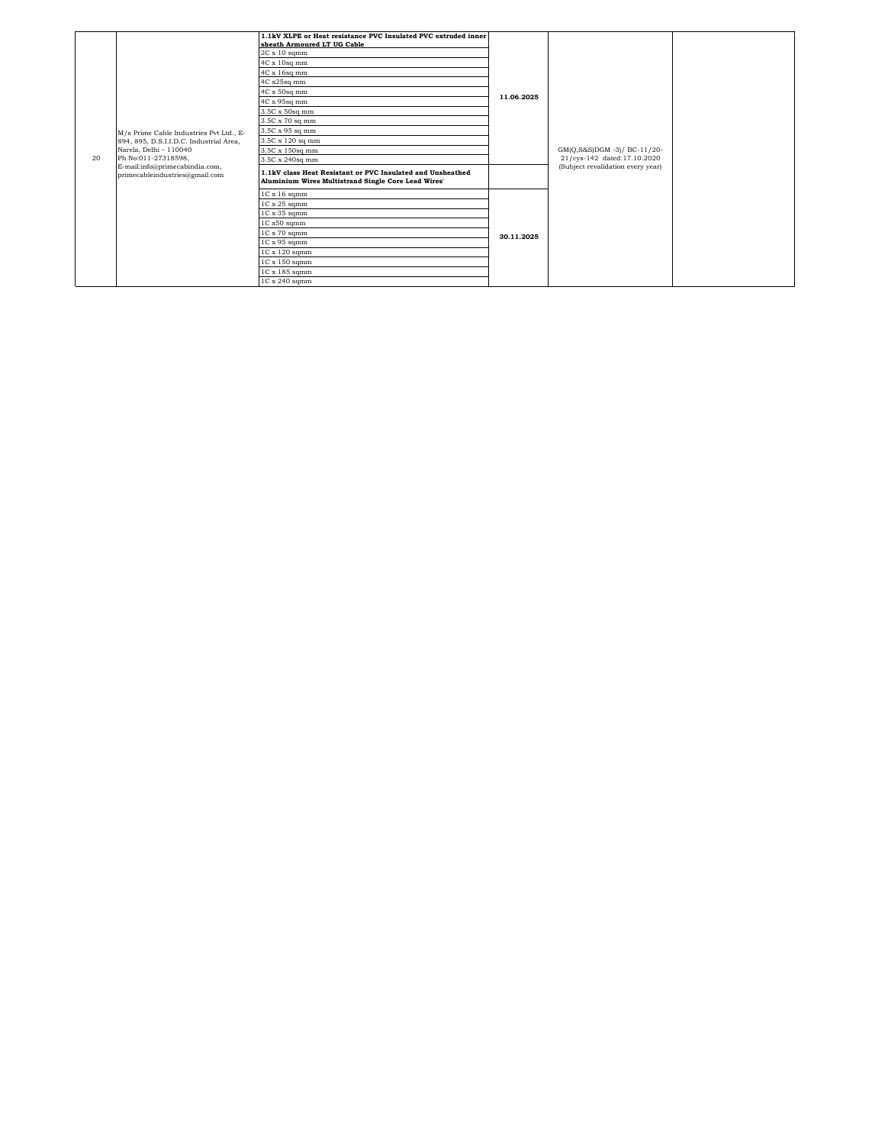| 20 | M/s Prime Cable Industries Pvt Ltd., E-<br>894, 895, D.S.I.I.D.C. Industrial Area,<br>Narela, Delhi - 110040<br>Ph No:011-27318598,<br>E-mail:info@primecabindia.com,<br>primecableindustries@gmail.com | 1.1kV XLPE or Heat resistance PVC Insulated PVC extruded inner<br>sheath Armoured LT UG Cable<br>$2C \times 10$ sqmm<br>4C x 10sq mm<br>4C x 16sq mm<br>4C x25sq mm<br>4C x 50sq mm<br>4C x 95sq mm<br>3.5C x 50sq mm<br>3.5C x 70 sq mm<br>3.5C x 95 sq mm<br>3.5C x 120 sq mm<br>3.5C x 150sq mm<br>3.5C x 240sq mm<br>1.1kV class Heat Resistant or PVC Insulated and Unsheathed<br>Aluminium Wires Multistrand Single Core Lead Wires' | 11.06.2025 | GM(Q,S&S)DGM -3)/ BC-11/20-<br>21/cys-142 dated:17.10.2020<br>(Subject revalidation every year) |  |
|----|---------------------------------------------------------------------------------------------------------------------------------------------------------------------------------------------------------|--------------------------------------------------------------------------------------------------------------------------------------------------------------------------------------------------------------------------------------------------------------------------------------------------------------------------------------------------------------------------------------------------------------------------------------------|------------|-------------------------------------------------------------------------------------------------|--|
|    |                                                                                                                                                                                                         | $1C \times 16$ sqmm                                                                                                                                                                                                                                                                                                                                                                                                                        |            |                                                                                                 |  |
|    |                                                                                                                                                                                                         | $1C \times 25$ sqmm                                                                                                                                                                                                                                                                                                                                                                                                                        |            |                                                                                                 |  |
|    |                                                                                                                                                                                                         | $1C \times 35$ sqmm                                                                                                                                                                                                                                                                                                                                                                                                                        |            |                                                                                                 |  |
|    |                                                                                                                                                                                                         | 1C x50 sqmm                                                                                                                                                                                                                                                                                                                                                                                                                                |            |                                                                                                 |  |
|    |                                                                                                                                                                                                         | $1C \times 70$ sqmm<br>$1C \times 95$ sqmm                                                                                                                                                                                                                                                                                                                                                                                                 | 30.11.2025 |                                                                                                 |  |
|    |                                                                                                                                                                                                         | 1C x 120 sqmm                                                                                                                                                                                                                                                                                                                                                                                                                              |            |                                                                                                 |  |
|    |                                                                                                                                                                                                         | 1C x 150 sqmm                                                                                                                                                                                                                                                                                                                                                                                                                              |            |                                                                                                 |  |
|    |                                                                                                                                                                                                         | 1C x 185 sqmm                                                                                                                                                                                                                                                                                                                                                                                                                              |            |                                                                                                 |  |
|    |                                                                                                                                                                                                         | 1C x 240 sqmm                                                                                                                                                                                                                                                                                                                                                                                                                              |            |                                                                                                 |  |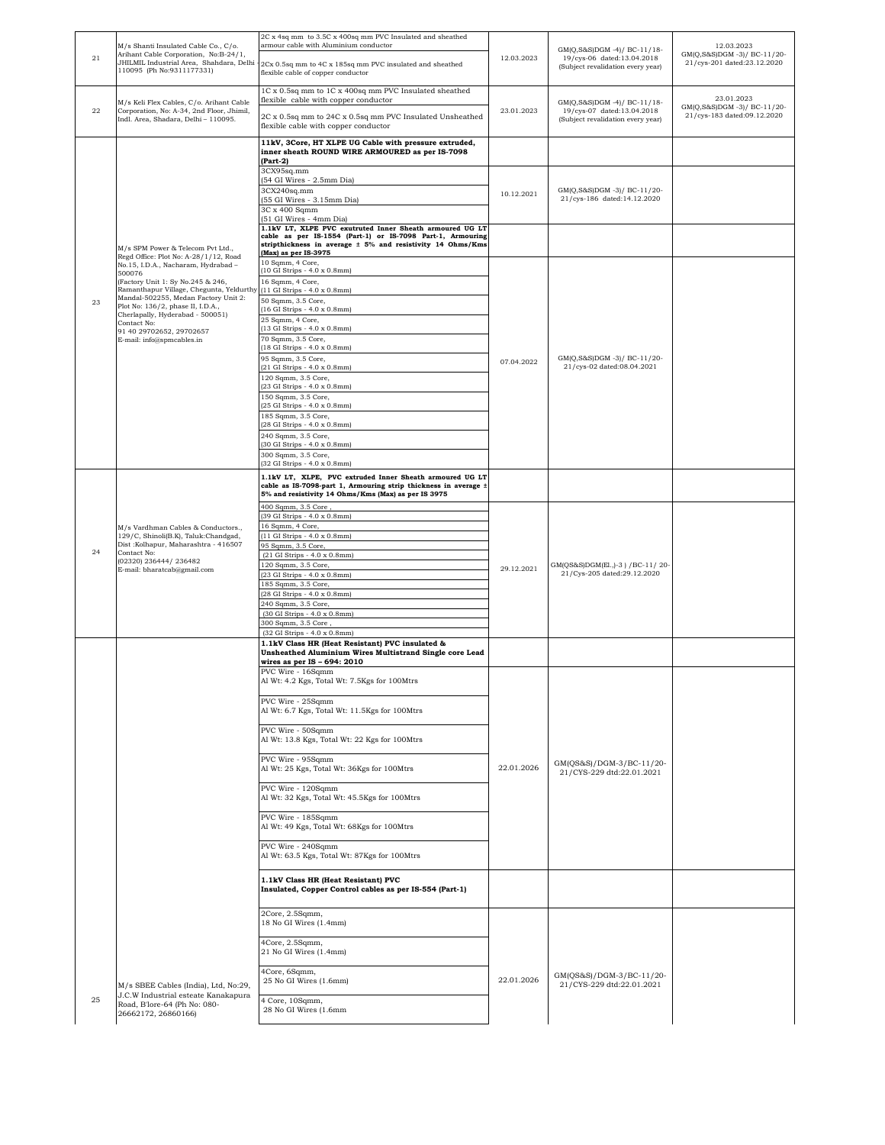| 21        | M/s Shanti Insulated Cable Co., C/o.<br>Arihant Cable Corporation, No:B-24/1,<br>JHILMIL Industrial Area, Shahdara, Delhi<br>110095 (Ph No:9311177331)                                                                                                                                                                  | 2C x 4sq mm to 3.5C x 400sq mm PVC Insulated and sheathed<br>armour cable with Aluminium conductor<br>2Cx 0.5sq mm to 4C x 185sq mm PVC insulated and sheathed<br>flexible cable of copper conductor                                                                                                                                                                                                                                                                                                                                                                                                                                                                      | 12.03.2023 | GM(Q,S&S)DGM -4)/ BC-11/18-<br>19/cys-06 dated:13.04.2018<br>(Subject revalidation every year) | 12.03.2023<br>GM(Q,S&S)DGM -3)/ BC-11/20-<br>21/cys-201 dated:23.12.2020 |
|-----------|-------------------------------------------------------------------------------------------------------------------------------------------------------------------------------------------------------------------------------------------------------------------------------------------------------------------------|---------------------------------------------------------------------------------------------------------------------------------------------------------------------------------------------------------------------------------------------------------------------------------------------------------------------------------------------------------------------------------------------------------------------------------------------------------------------------------------------------------------------------------------------------------------------------------------------------------------------------------------------------------------------------|------------|------------------------------------------------------------------------------------------------|--------------------------------------------------------------------------|
| $\bf{22}$ | M/s Keli Flex Cables, C/o. Arihant Cable<br>Corporation, No: A-34, 2nd Floor, Jhimil,<br>Indl. Area, Shadara, Delhi - 110095.                                                                                                                                                                                           | 1C x 0.5sq mm to 1C x 400sq mm PVC Insulated sheathed<br>flexible cable with copper conductor<br>2C x 0.5sq mm to 24C x 0.5sq mm PVC Insulated Unsheathed<br>flexible cable with copper conductor                                                                                                                                                                                                                                                                                                                                                                                                                                                                         | 23.01.2023 | GM(Q,S&S)DGM -4)/ BC-11/18-<br>19/cys-07 dated:13.04.2018<br>(Subject revalidation every year) | 23.01.2023<br>GM(Q,S&S)DGM -3)/ BC-11/20-<br>21/cys-183 dated:09.12.2020 |
|           |                                                                                                                                                                                                                                                                                                                         | 11kV, 3Core, HT XLPE UG Cable with pressure extruded,<br>inner sheath ROUND WIRE ARMOURED as per IS-7098<br>$(Part-2)$                                                                                                                                                                                                                                                                                                                                                                                                                                                                                                                                                    |            |                                                                                                |                                                                          |
|           |                                                                                                                                                                                                                                                                                                                         | 3CX95sq.mm<br>(54 GI Wires - 2.5mm Dia)<br>3CX240sq.mm<br>(55 GI Wires - 3.15mm Dia)<br>3C x 400 Sqmm<br>(51 GI Wires - 4mm Dia)                                                                                                                                                                                                                                                                                                                                                                                                                                                                                                                                          | 10.12.2021 | GM(Q,S&S)DGM-3)/BC-11/20-<br>21/cys-186 dated:14.12.2020                                       |                                                                          |
|           | M/s SPM Power & Telecom Pvt Ltd.,<br>Regd Office: Plot No: A-28/1/12, Road                                                                                                                                                                                                                                              | 1.1kV LT, XLPE PVC exutruted Inner Sheath armoured UG LT<br>cable as per IS-1554 (Part-1) or IS-7098 Part-1, Armouring<br>stripthickness in average ± 5% and resistivity 14 Ohms/Kms<br>(Max) as per IS-3975                                                                                                                                                                                                                                                                                                                                                                                                                                                              |            |                                                                                                |                                                                          |
| 23        | No.15, I.D.A., Nacharam, Hydrabad -<br>500076<br>(Factory Unit 1: Sy No.245 & 246,<br>Ramanthapur Village, Chegunta, Yeldurthy<br>Mandal-502255, Medan Factory Unit 2:<br>Plot No: 136/2, phase II, I.D.A.,<br>Cherlapally, Hyderabad - 500051)<br>Contact No:<br>91 40 29702652, 29702657<br>E-mail: info@spmcables.in | 10 Sqmm, 4 Core,<br>(10 GI Strips - 4.0 x 0.8mm)<br>16 Sqmm, 4 Core,<br>(11 GI Strips - 4.0 x 0.8mm)<br>50 Sqmm, 3.5 Core,<br>(16 GI Strips - 4.0 x 0.8mm)<br>25 Sqmm, 4 Core,<br>(13 GI Strips - 4.0 x 0.8mm)<br>70 Sqmm, 3.5 Core,<br>(18 GI Strips - 4.0 x 0.8mm)<br>95 Sqmm, 3.5 Core,<br>(21 GI Strips - 4.0 x 0.8mm)<br>120 Sqmm, 3.5 Core,<br>(23 GI Strips - 4.0 x 0.8mm)<br>150 Sqmm, 3.5 Core,<br>(25 GI Strips - 4.0 x 0.8mm)<br>185 Sqmm, 3.5 Core,<br>(28 GI Strips - 4.0 x 0.8mm)<br>240 Sqmm, 3.5 Core,<br>(30 GI Strips - 4.0 x 0.8mm)<br>300 Sqmm, 3.5 Core,<br>(32 GI Strips - 4.0 x 0.8mm)<br>1.1kV LT, XLPE, PVC extruded Inner Sheath armoured UG LT | 07.04.2022 | GM(Q,S&S)DGM-3)/BC-11/20-<br>21/cys-02 dated:08.04.2021                                        |                                                                          |
|           |                                                                                                                                                                                                                                                                                                                         | cable as IS-7098-part 1, Armouring strip thickness in average ±<br>5% and resistivity 14 Ohms/Kms (Max) as per IS 3975<br>400 Sqmm, 3.5 Core                                                                                                                                                                                                                                                                                                                                                                                                                                                                                                                              |            |                                                                                                |                                                                          |
| 24        | M/s Vardhman Cables & Conductors.,<br>129/C, Shinoli(B.K), Taluk:Chandgad,<br>Dist: Kolhapur, Maharashtra - 416507<br>Contact No:<br>(02320) 236444/236482<br>E-mail: bharatcab@gmail.com                                                                                                                               | (39 GI Strips - 4.0 x 0.8mm)<br>16 Sqmm, 4 Core,<br>(11 GI Strips - 4.0 x 0.8mm)<br>95 Sqmm, 3.5 Core,<br>(21 GI Strips - 4.0 x 0.8mm)<br>120 Sqmm, 3.5 Core,<br>(23 GI Strips - 4.0 x 0.8mm)<br>185 Sqmm, 3.5 Core,<br>(28 GI Strips - 4.0 x 0.8mm)<br>240 Sqmm, 3.5 Core,<br>(30 GI Strips - 4.0 x 0.8mm)<br>300 Sqmm, 3.5 Core,<br>(32 GI Strips - 4.0 x 0.8mm)<br>1.1kV Class HR (Heat Resistant) PVC insulated &                                                                                                                                                                                                                                                     | 29.12.2021 | GM(QS&S)DGM(El., )-3 ) / BC-11/20-<br>21/Cys-205 dated:29.12.2020                              |                                                                          |
|           |                                                                                                                                                                                                                                                                                                                         | Unsheathed Aluminium Wires Multistrand Single core Lead<br>wires as per IS - 694: 2010                                                                                                                                                                                                                                                                                                                                                                                                                                                                                                                                                                                    |            |                                                                                                |                                                                          |
|           |                                                                                                                                                                                                                                                                                                                         | PVC Wire - 16Sqmm<br>Al Wt: 4.2 Kgs, Total Wt: 7.5Kgs for 100Mtrs<br>PVC Wire - 25Sqmm<br>Al Wt: 6.7 Kgs, Total Wt: 11.5Kgs for 100Mtrs<br>PVC Wire - 50Sqmm<br>Al Wt: 13.8 Kgs, Total Wt: 22 Kgs for 100Mtrs<br>PVC Wire - 95Sqmm<br>Al Wt: 25 Kgs, Total Wt: 36Kgs for 100Mtrs<br>PVC Wire - 120Sqmm<br>Al Wt: 32 Kgs, Total Wt: 45.5Kgs for 100Mtrs                                                                                                                                                                                                                                                                                                                    | 22.01.2026 | GM(QS&S)/DGM-3/BC-11/20-<br>21/CYS-229 dtd:22.01.2021                                          |                                                                          |
|           |                                                                                                                                                                                                                                                                                                                         | PVC Wire - 185Sqmm<br>Al Wt: 49 Kgs, Total Wt: 68Kgs for 100Mtrs<br>PVC Wire - 240Sqmm                                                                                                                                                                                                                                                                                                                                                                                                                                                                                                                                                                                    |            |                                                                                                |                                                                          |
|           |                                                                                                                                                                                                                                                                                                                         | Al Wt: 63.5 Kgs, Total Wt: 87Kgs for 100Mtrs                                                                                                                                                                                                                                                                                                                                                                                                                                                                                                                                                                                                                              |            |                                                                                                |                                                                          |
|           |                                                                                                                                                                                                                                                                                                                         | 1.1kV Class HR (Heat Resistant) PVC<br>Insulated, Copper Control cables as per IS-554 (Part-1)                                                                                                                                                                                                                                                                                                                                                                                                                                                                                                                                                                            |            |                                                                                                |                                                                          |
|           |                                                                                                                                                                                                                                                                                                                         | 2Core, 2.5Sqmm,<br>18 No GI Wires (1.4mm)                                                                                                                                                                                                                                                                                                                                                                                                                                                                                                                                                                                                                                 |            |                                                                                                |                                                                          |
|           |                                                                                                                                                                                                                                                                                                                         | 4Core, 2.5Sqmm,<br>21 No GI Wires (1.4mm)                                                                                                                                                                                                                                                                                                                                                                                                                                                                                                                                                                                                                                 |            |                                                                                                |                                                                          |
|           | M/s SBEE Cables (India), Ltd, No:29,                                                                                                                                                                                                                                                                                    | 4Core, 6Sqmm,<br>25 No GI Wires (1.6mm)                                                                                                                                                                                                                                                                                                                                                                                                                                                                                                                                                                                                                                   | 22.01.2026 | GM(QS&S)/DGM-3/BC-11/20-<br>21/CYS-229 dtd:22.01.2021                                          |                                                                          |
| 25        | J.C.W Industrial esteate Kanakapura<br>Road, B'lore-64 (Ph No: 080-<br>26662172, 26860166)                                                                                                                                                                                                                              | 4 Core, 10Sqmm,<br>28 No GI Wires (1.6mm                                                                                                                                                                                                                                                                                                                                                                                                                                                                                                                                                                                                                                  |            |                                                                                                |                                                                          |